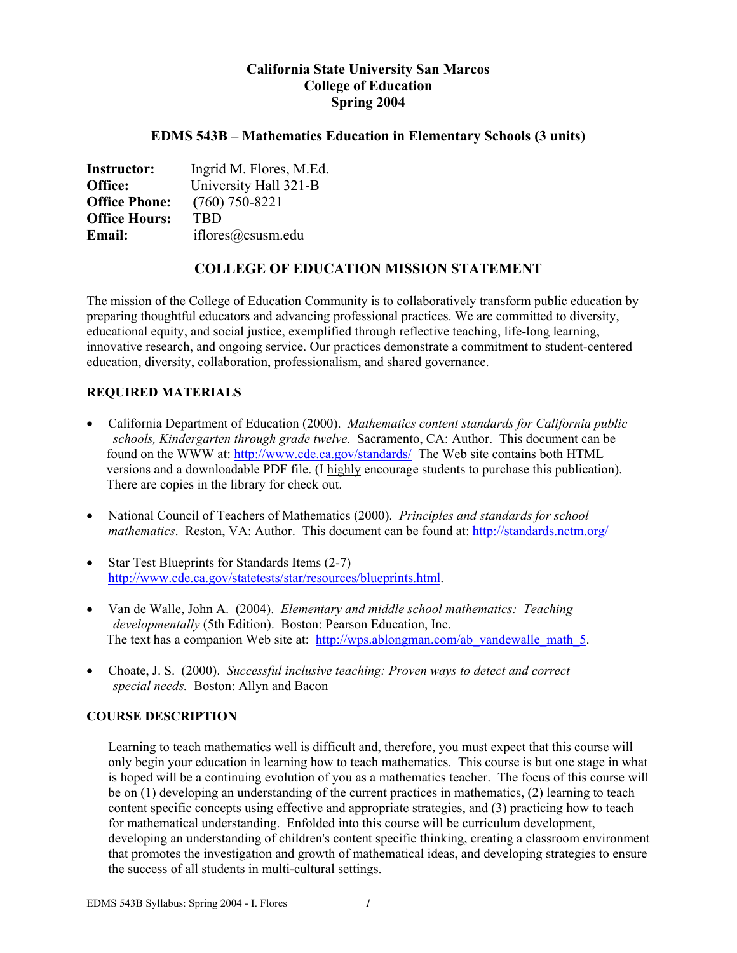# **California State University San Marcos College of Education Spring 2004**

## **EDMS 543B – Mathematics Education in Elementary Schools (3 units)**

| <b>Instructor:</b>   | Ingrid M. Flores, M.Ed. |
|----------------------|-------------------------|
| Office:              | University Hall 321-B   |
| <b>Office Phone:</b> | $(760)$ 750-8221        |
| <b>Office Hours:</b> | <b>TRD</b>              |
| <b>Email:</b>        | iflores@csusm.edu       |

# **COLLEGE OF EDUCATION MISSION STATEMENT**

The mission of the College of Education Community is to collaboratively transform public education by preparing thoughtful educators and advancing professional practices. We are committed to diversity, educational equity, and social justice, exemplified through reflective teaching, life-long learning, innovative research, and ongoing service. Our practices demonstrate a commitment to student-centered education, diversity, collaboration, professionalism, and shared governance.

## **REQUIRED MATERIALS**

- California Department of Education (2000). *Mathematics content standards for California public schools, Kindergarten through grade twelve*. Sacramento, CA: Author. This document can be found on the WWW at: http://www.cde.ca.gov/standards/ The Web site contains both HTML versions and a downloadable PDF file. (I highly encourage students to purchase this publication). There are copies in the library for check out.
- National Council of Teachers of Mathematics (2000). *Principles and standards for school mathematics*. Reston, VA: Author. This document can be found at: http://standards.nctm.org/
- Star Test Blueprints for Standards Items (2-7) http://www.cde.ca.gov/statetests/star/resources/blueprints.html.
- Van de Walle, John A. (2004). *Elementary and middle school mathematics: Teaching developmentally* (5th Edition). Boston: Pearson Education, Inc. The text has a companion Web site at: http://wps.ablongman.com/ab\_vandewalle\_math\_5.
- Choate, J. S. (2000). *Successful inclusive teaching: Proven ways to detect and correct special needs.* Boston: Allyn and Bacon

### **COURSE DESCRIPTION**

Learning to teach mathematics well is difficult and, therefore, you must expect that this course will only begin your education in learning how to teach mathematics. This course is but one stage in what is hoped will be a continuing evolution of you as a mathematics teacher. The focus of this course will be on (1) developing an understanding of the current practices in mathematics, (2) learning to teach content specific concepts using effective and appropriate strategies, and (3) practicing how to teach for mathematical understanding. Enfolded into this course will be curriculum development, developing an understanding of children's content specific thinking, creating a classroom environment that promotes the investigation and growth of mathematical ideas, and developing strategies to ensure the success of all students in multi-cultural settings.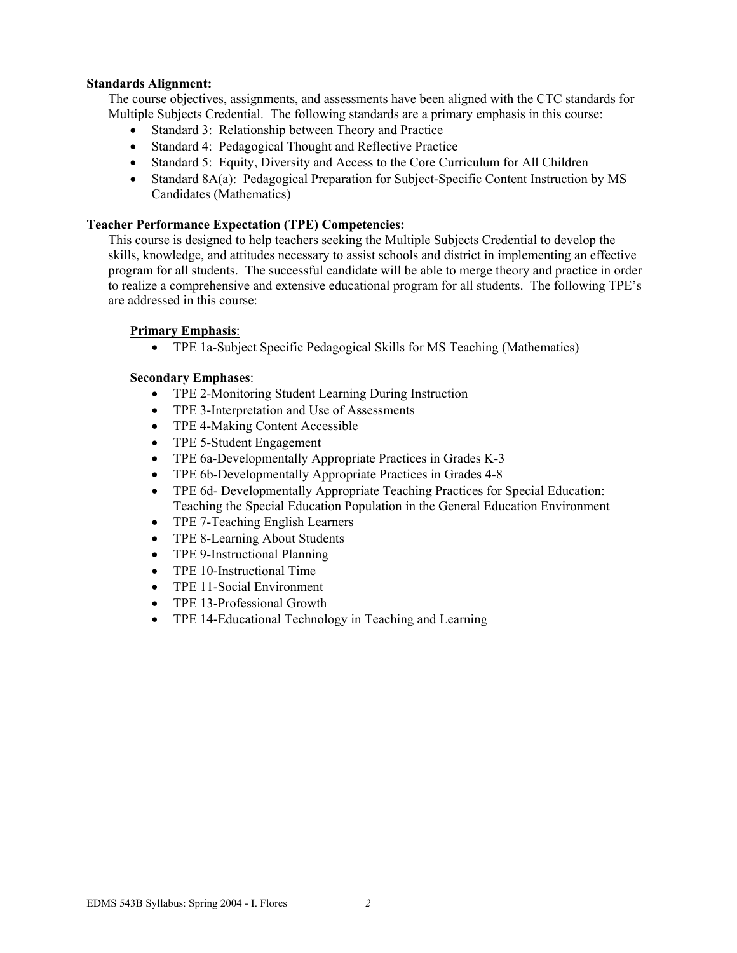### **Standards Alignment:**

The course objectives, assignments, and assessments have been aligned with the CTC standards for Multiple Subjects Credential. The following standards are a primary emphasis in this course:

- Standard 3: Relationship between Theory and Practice
- Standard 4: Pedagogical Thought and Reflective Practice
- Standard 5: Equity, Diversity and Access to the Core Curriculum for All Children
- Standard 8A(a): Pedagogical Preparation for Subject-Specific Content Instruction by MS Candidates (Mathematics)

### **Teacher Performance Expectation (TPE) Competencies:**

This course is designed to help teachers seeking the Multiple Subjects Credential to develop the skills, knowledge, and attitudes necessary to assist schools and district in implementing an effective program for all students. The successful candidate will be able to merge theory and practice in order to realize a comprehensive and extensive educational program for all students. The following TPE's are addressed in this course:

### **Primary Emphasis**:

• TPE 1a-Subject Specific Pedagogical Skills for MS Teaching (Mathematics)

### **Secondary Emphases**:

- TPE 2-Monitoring Student Learning During Instruction
- TPE 3-Interpretation and Use of Assessments
- TPE 4-Making Content Accessible
- TPE 5-Student Engagement
- TPE 6a-Developmentally Appropriate Practices in Grades K-3
- TPE 6b-Developmentally Appropriate Practices in Grades 4-8
- TPE 6d- Developmentally Appropriate Teaching Practices for Special Education: Teaching the Special Education Population in the General Education Environment
- TPE 7-Teaching English Learners
- TPE 8-Learning About Students
- TPE 9-Instructional Planning
- TPE 10-Instructional Time
- TPE 11-Social Environment
- TPE 13-Professional Growth
- TPE 14-Educational Technology in Teaching and Learning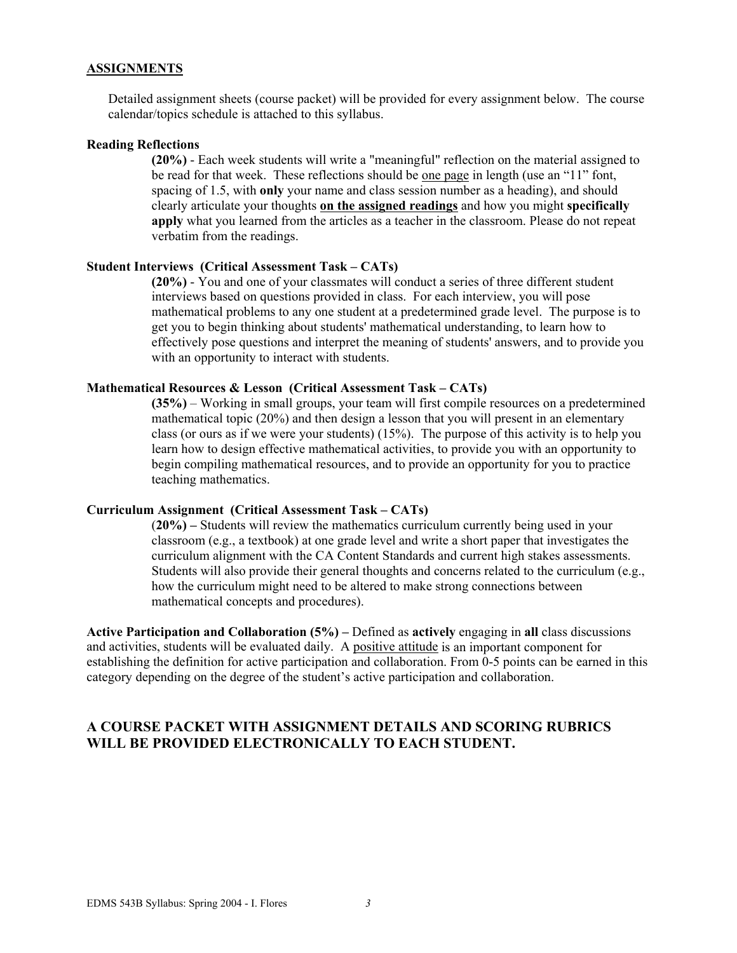### **ASSIGNMENTS**

Detailed assignment sheets (course packet) will be provided for every assignment below. The course calendar/topics schedule is attached to this syllabus.

### **Reading Reflections**

**(20%)** - Each week students will write a "meaningful" reflection on the material assigned to be read for that week. These reflections should be one page in length (use an "11" font, spacing of 1.5, with **only** your name and class session number as a heading), and should clearly articulate your thoughts **on the assigned readings** and how you might **specifically apply** what you learned from the articles as a teacher in the classroom. Please do not repeat verbatim from the readings.

#### **Student Interviews (Critical Assessment Task – CATs)**

**(20%)** - You and one of your classmates will conduct a series of three different student interviews based on questions provided in class. For each interview, you will pose mathematical problems to any one student at a predetermined grade level. The purpose is to get you to begin thinking about students' mathematical understanding, to learn how to effectively pose questions and interpret the meaning of students' answers, and to provide you with an opportunity to interact with students.

#### **Mathematical Resources & Lesson (Critical Assessment Task – CATs)**

**(35%)** – Working in small groups, your team will first compile resources on a predetermined mathematical topic (20%) and then design a lesson that you will present in an elementary class (or ours as if we were your students) (15%). The purpose of this activity is to help you learn how to design effective mathematical activities, to provide you with an opportunity to begin compiling mathematical resources, and to provide an opportunity for you to practice teaching mathematics.

### **Curriculum Assignment (Critical Assessment Task – CATs)**

(**20%) –** Students will review the mathematics curriculum currently being used in your classroom (e.g., a textbook) at one grade level and write a short paper that investigates the curriculum alignment with the CA Content Standards and current high stakes assessments. Students will also provide their general thoughts and concerns related to the curriculum (e.g., how the curriculum might need to be altered to make strong connections between mathematical concepts and procedures).

**Active Participation and Collaboration (5%) –** Defined as **actively** engaging in **all** class discussions and activities, students will be evaluated daily. A positive attitude is an important component for establishing the definition for active participation and collaboration. From 0-5 points can be earned in this category depending on the degree of the student's active participation and collaboration.

## **A COURSE PACKET WITH ASSIGNMENT DETAILS AND SCORING RUBRICS WILL BE PROVIDED ELECTRONICALLY TO EACH STUDENT.**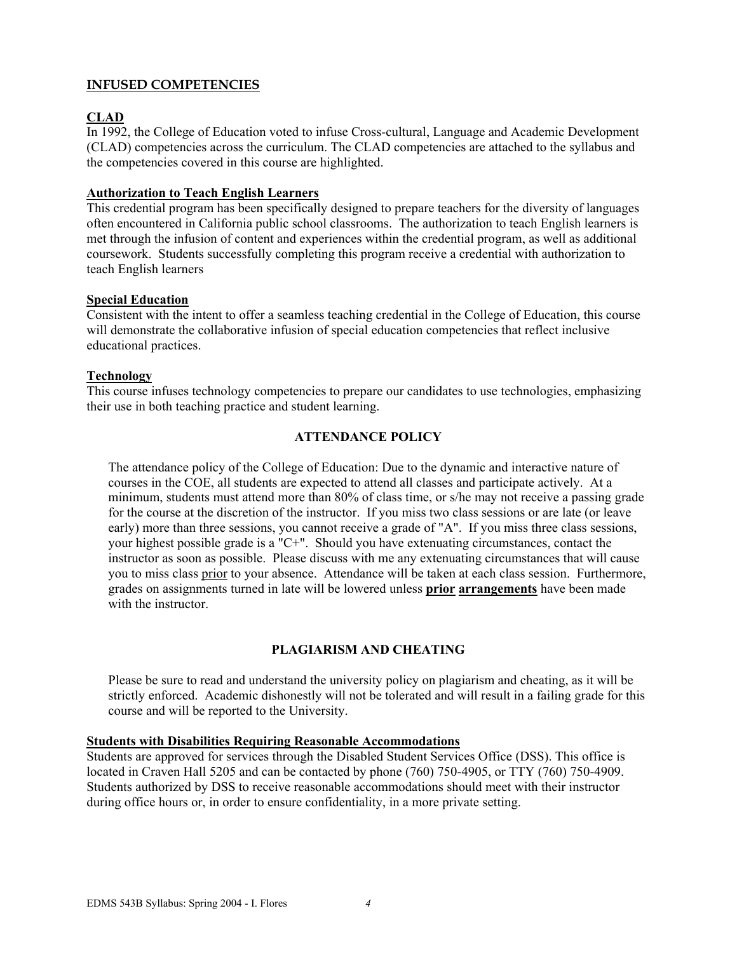## **INFUSED COMPETENCIES**

## **CLAD**

In 1992, the College of Education voted to infuse Cross-cultural, Language and Academic Development (CLAD) competencies across the curriculum. The CLAD competencies are attached to the syllabus and the competencies covered in this course are highlighted.

### **Authorization to Teach English Learners**

This credential program has been specifically designed to prepare teachers for the diversity of languages often encountered in California public school classrooms. The authorization to teach English learners is met through the infusion of content and experiences within the credential program, as well as additional coursework. Students successfully completing this program receive a credential with authorization to teach English learners

### **Special Education**

Consistent with the intent to offer a seamless teaching credential in the College of Education, this course will demonstrate the collaborative infusion of special education competencies that reflect inclusive educational practices.

### **Technology**

This course infuses technology competencies to prepare our candidates to use technologies, emphasizing their use in both teaching practice and student learning.

## **ATTENDANCE POLICY**

The attendance policy of the College of Education: Due to the dynamic and interactive nature of courses in the COE, all students are expected to attend all classes and participate actively. At a minimum, students must attend more than 80% of class time, or s/he may not receive a passing grade for the course at the discretion of the instructor. If you miss two class sessions or are late (or leave early) more than three sessions, you cannot receive a grade of "A". If you miss three class sessions, your highest possible grade is a "C+". Should you have extenuating circumstances, contact the instructor as soon as possible. Please discuss with me any extenuating circumstances that will cause you to miss class prior to your absence. Attendance will be taken at each class session. Furthermore, grades on assignments turned in late will be lowered unless **prior arrangements** have been made with the instructor.

### **PLAGIARISM AND CHEATING**

Please be sure to read and understand the university policy on plagiarism and cheating, as it will be strictly enforced. Academic dishonestly will not be tolerated and will result in a failing grade for this course and will be reported to the University.

### **Students with Disabilities Requiring Reasonable Accommodations**

Students are approved for services through the Disabled Student Services Office (DSS). This office is located in Craven Hall 5205 and can be contacted by phone (760) 750-4905, or TTY (760) 750-4909. Students authorized by DSS to receive reasonable accommodations should meet with their instructor during office hours or, in order to ensure confidentiality, in a more private setting.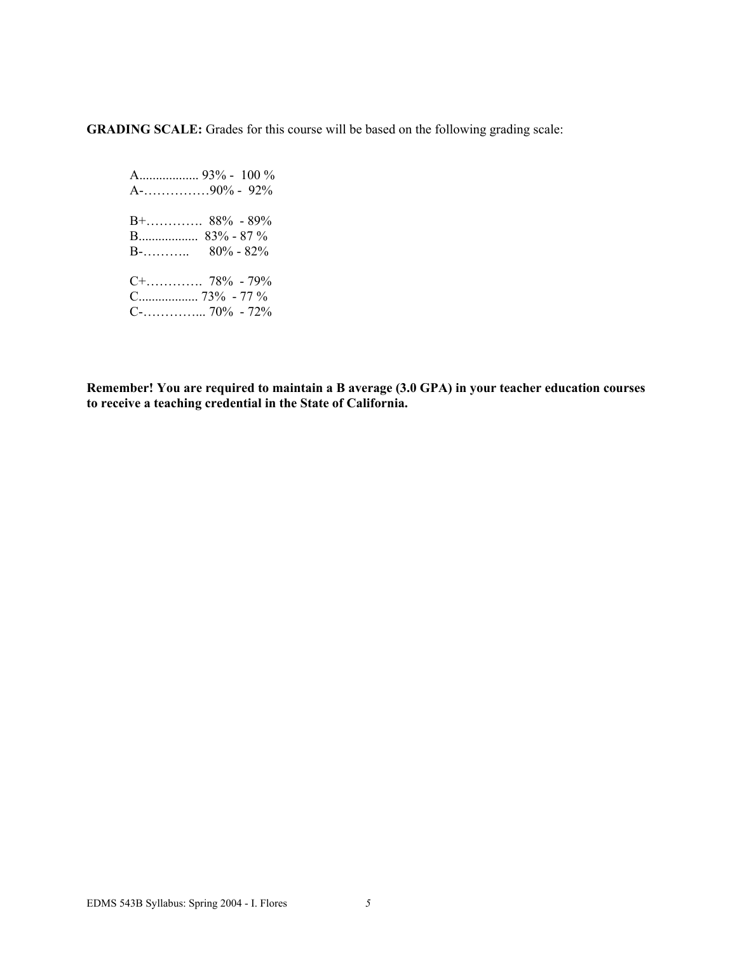**GRADING SCALE:** Grades for this course will be based on the following grading scale:

 A.................. 93% - 100 % A-……………90% - 92% B+…………. 88% - 89% B.................. 83% - 87 %  $B$ -………... 80% - 82% C+…………. 78% - 79% C.................. 73% - 77 % C-…………... 70% - 72%

**Remember! You are required to maintain a B average (3.0 GPA) in your teacher education courses to receive a teaching credential in the State of California.**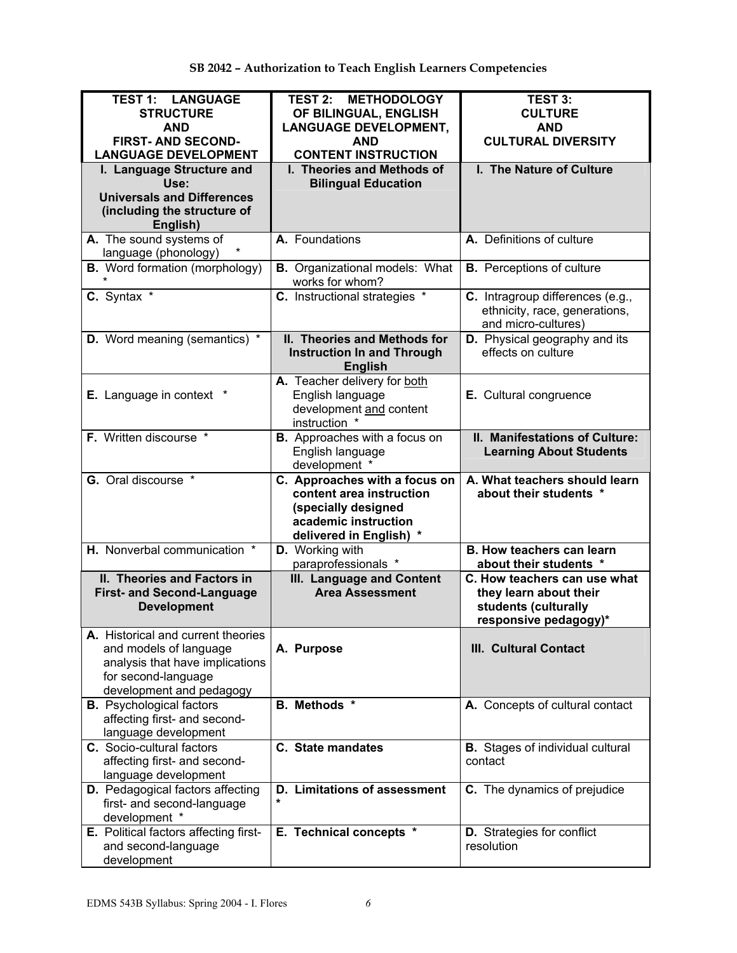| <b>TEST 1: LANGUAGE</b><br><b>STRUCTURE</b><br><b>AND</b><br><b>FIRST- AND SECOND-</b><br><b>LANGUAGE DEVELOPMENT</b><br>I. Language Structure and | <b>TEST 2: METHODOLOGY</b><br>OF BILINGUAL, ENGLISH<br><b>LANGUAGE DEVELOPMENT,</b><br><b>AND</b><br><b>CONTENT INSTRUCTION</b><br>I. Theories and Methods of | <b>TEST 3:</b><br><b>CULTURE</b><br><b>AND</b><br><b>CULTURAL DIVERSITY</b><br>I. The Nature of Culture |
|----------------------------------------------------------------------------------------------------------------------------------------------------|---------------------------------------------------------------------------------------------------------------------------------------------------------------|---------------------------------------------------------------------------------------------------------|
| Use:<br><b>Universals and Differences</b><br>(including the structure of<br>English)                                                               | <b>Bilingual Education</b>                                                                                                                                    |                                                                                                         |
| A. The sound systems of<br>language (phonology)                                                                                                    | A. Foundations                                                                                                                                                | A. Definitions of culture                                                                               |
| <b>B.</b> Word formation (morphology)                                                                                                              | <b>B.</b> Organizational models: What<br>works for whom?                                                                                                      | <b>B.</b> Perceptions of culture                                                                        |
| C. Syntax *                                                                                                                                        | C. Instructional strategies *                                                                                                                                 | C. Intragroup differences (e.g.,<br>ethnicity, race, generations,<br>and micro-cultures)                |
| <b>D.</b> Word meaning (semantics) *                                                                                                               | II. Theories and Methods for<br><b>Instruction In and Through</b><br><b>English</b>                                                                           | <b>D.</b> Physical geography and its<br>effects on culture                                              |
| <b>E.</b> Language in context                                                                                                                      | A. Teacher delivery for both<br>English language<br>development and content<br>instruction *                                                                  | E. Cultural congruence                                                                                  |
| F. Written discourse *                                                                                                                             | <b>B.</b> Approaches with a focus on<br>English language<br>development *                                                                                     | II. Manifestations of Culture:<br><b>Learning About Students</b>                                        |
| G. Oral discourse *                                                                                                                                | C. Approaches with a focus on<br>content area instruction<br>(specially designed<br>academic instruction<br>delivered in English) *                           | A. What teachers should learn<br>about their students *                                                 |
| H. Nonverbal communication *                                                                                                                       | D. Working with<br>paraprofessionals *                                                                                                                        | <b>B. How teachers can learn</b><br>about their students *                                              |
| II. Theories and Factors in<br><b>First- and Second-Language</b><br><b>Development</b>                                                             | <b>III. Language and Content</b><br><b>Area Assessment</b>                                                                                                    | C. How teachers can use what<br>they learn about their<br>students (culturally<br>responsive pedagogy)* |
| A. Historical and current theories<br>and models of language<br>analysis that have implications<br>for second-language<br>development and pedagogy | A. Purpose                                                                                                                                                    | <b>III. Cultural Contact</b>                                                                            |
| <b>B.</b> Psychological factors<br>affecting first- and second-<br>language development                                                            | B. Methods *                                                                                                                                                  | A. Concepts of cultural contact                                                                         |
| C. Socio-cultural factors<br>affecting first- and second-<br>language development                                                                  | C. State mandates                                                                                                                                             | <b>B.</b> Stages of individual cultural<br>contact                                                      |
| D. Pedagogical factors affecting<br>first- and second-language<br>development *                                                                    | D. Limitations of assessment<br>*                                                                                                                             | C. The dynamics of prejudice                                                                            |
| E. Political factors affecting first-<br>and second-language<br>development                                                                        | E. Technical concepts *                                                                                                                                       | <b>D.</b> Strategies for conflict<br>resolution                                                         |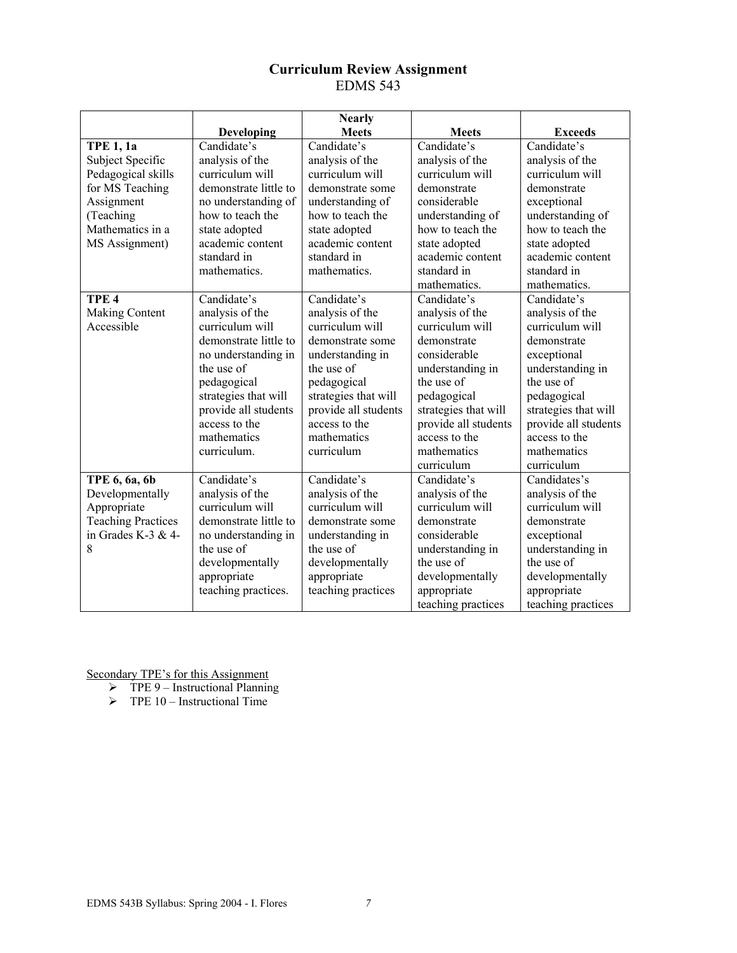## **Curriculum Review Assignment**  EDMS 543

|                            | <b>Nearly</b>         |                      |                                      |                      |
|----------------------------|-----------------------|----------------------|--------------------------------------|----------------------|
|                            | Developing            | <b>Meets</b>         | <b>Meets</b>                         | <b>Exceeds</b>       |
| <b>TPE 1, 1a</b>           | Candidate's           | Candidate's          | Candidate's                          | Candidate's          |
| Subject Specific           | analysis of the       | analysis of the      | analysis of the                      | analysis of the      |
| Pedagogical skills         | curriculum will       | curriculum will      | curriculum will                      | curriculum will      |
| for MS Teaching            | demonstrate little to | demonstrate some     | demonstrate                          | demonstrate          |
| Assignment                 | no understanding of   | understanding of     | considerable                         | exceptional          |
| (Teaching                  | how to teach the      | how to teach the     | understanding of                     | understanding of     |
| Mathematics in a           | state adopted         | state adopted        | how to teach the                     | how to teach the     |
| MS Assignment)             | academic content      | academic content     | state adopted                        | state adopted        |
|                            | standard in           | standard in          | academic content                     | academic content     |
|                            | mathematics.          | mathematics.         | standard in                          | standard in          |
|                            |                       |                      | mathematics.                         | mathematics.         |
| TPE <sub>4</sub>           | Candidate's           | Candidate's          | Candidate's                          | Candidate's          |
| <b>Making Content</b>      | analysis of the       | analysis of the      | analysis of the                      | analysis of the      |
| Accessible                 | curriculum will       | curriculum will      | curriculum will                      | curriculum will      |
|                            | demonstrate little to | demonstrate some     | demonstrate                          | demonstrate          |
|                            | no understanding in   | understanding in     | considerable                         | exceptional          |
|                            | the use of            | the use of           | understanding in                     | understanding in     |
|                            | pedagogical           | pedagogical          | the use of                           | the use of           |
|                            | strategies that will  | strategies that will | pedagogical                          | pedagogical          |
|                            | provide all students  | provide all students | strategies that will                 | strategies that will |
|                            | access to the         | access to the        | provide all students                 | provide all students |
|                            | mathematics           | mathematics          | access to the                        | access to the        |
|                            | curriculum.           | curriculum           | mathematics                          | mathematics          |
|                            |                       |                      | curriculum                           | curriculum           |
| TPE 6, 6a, 6b              | Candidate's           | Candidate's          | Candidate's                          | Candidates's         |
| Developmentally            | analysis of the       | analysis of the      | analysis of the                      | analysis of the      |
| Appropriate                | curriculum will       | curriculum will      | curriculum will                      | curriculum will      |
| <b>Teaching Practices</b>  | demonstrate little to | demonstrate some     | demonstrate                          | demonstrate          |
| in Grades K-3 & 4-         | no understanding in   | understanding in     | considerable<br>exceptional          |                      |
| 8                          | the use of            | the use of           | understanding in<br>understanding in |                      |
|                            | developmentally       | developmentally      | the use of                           |                      |
| appropriate<br>appropriate |                       |                      | developmentally<br>developmentally   |                      |
|                            | teaching practices.   | teaching practices   | appropriate                          | appropriate          |
|                            |                       |                      | teaching practices                   | teaching practices   |

- $\triangleright$  TPE 9 Instructional Planning
- $\triangleright$  TPE 10 Instructional Time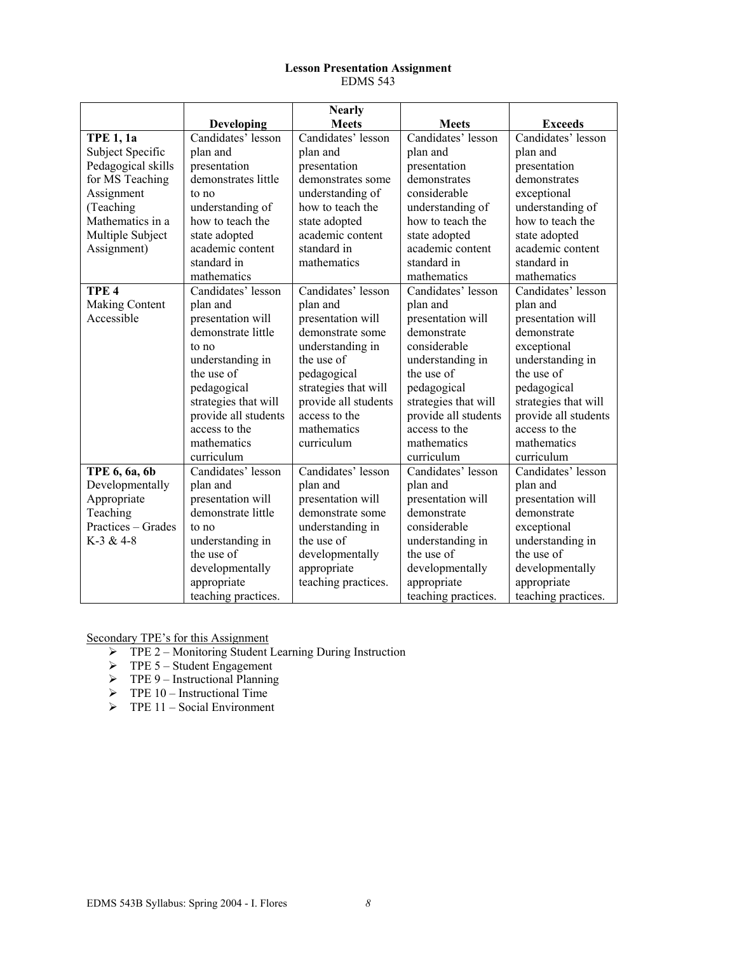#### **Lesson Presentation Assignment**  EDMS 543

|                    | <b>Nearly</b>        |                      |                                        |                      |
|--------------------|----------------------|----------------------|----------------------------------------|----------------------|
|                    | Developing           | <b>Meets</b>         | <b>Meets</b>                           | <b>Exceeds</b>       |
| <b>TPE 1, 1a</b>   | Candidates' lesson   | Candidates' lesson   | Candidates' lesson                     | Candidates' lesson   |
| Subject Specific   | plan and             | plan and             | plan and                               | plan and             |
| Pedagogical skills | presentation         | presentation         | presentation                           | presentation         |
| for MS Teaching    | demonstrates little  | demonstrates some    | demonstrates                           | demonstrates         |
| Assignment         | to no                | understanding of     | considerable                           | exceptional          |
| (Teaching          | understanding of     | how to teach the     | understanding of                       | understanding of     |
| Mathematics in a   | how to teach the     | state adopted        | how to teach the                       | how to teach the     |
| Multiple Subject   | state adopted        | academic content     | state adopted                          | state adopted        |
| Assignment)        | academic content     | standard in          | academic content                       | academic content     |
|                    | standard in          | mathematics          | standard in                            | standard in          |
|                    | mathematics          |                      | mathematics                            | mathematics          |
| TPE <sub>4</sub>   | Candidates' lesson   | Candidates' lesson   | Candidates' lesson                     | Candidates' lesson   |
| Making Content     | plan and             | plan and             | plan and                               | plan and             |
| Accessible         | presentation will    | presentation will    | presentation will                      | presentation will    |
|                    | demonstrate little   | demonstrate some     | demonstrate                            | demonstrate          |
|                    | to no                | understanding in     | considerable                           | exceptional          |
|                    | understanding in     | the use of           | understanding in                       | understanding in     |
|                    | the use of           | pedagogical          | the use of                             | the use of           |
|                    | pedagogical          | strategies that will | pedagogical                            | pedagogical          |
|                    | strategies that will | provide all students | strategies that will                   | strategies that will |
|                    | provide all students | access to the        | provide all students                   | provide all students |
|                    | access to the        | mathematics          | access to the                          | access to the        |
|                    | mathematics          | curriculum           | mathematics                            | mathematics          |
|                    | curriculum           |                      | curriculum                             | curriculum           |
| TPE 6, 6a, 6b      | Candidates' lesson   | Candidates' lesson   | Candidates' lesson                     | Candidates' lesson   |
| Developmentally    | plan and             | plan and             | plan and                               | plan and             |
| Appropriate        | presentation will    | presentation will    | presentation will<br>presentation will |                      |
| Teaching           | demonstrate little   | demonstrate some     | demonstrate<br>demonstrate             |                      |
| Practices – Grades | to no                | understanding in     | considerable<br>exceptional            |                      |
| $K-3 & 4-8$        | understanding in     | the use of           | understanding in<br>understanding in   |                      |
|                    | the use of           | developmentally      | the use of<br>the use of               |                      |
|                    | developmentally      | appropriate          | developmentally                        | developmentally      |
|                    | appropriate          | teaching practices.  | appropriate                            | appropriate          |
|                    | teaching practices.  |                      | teaching practices.                    | teaching practices.  |

- ¾ TPE 2 Monitoring Student Learning During Instruction
- $\triangleright$  TPE 5 Student Engagement
- $\triangleright$  TPE 9 Instructional Planning
- $\triangleright$  TPE 10 Instructional Time
- $\triangleright$  TPE 11 Social Environment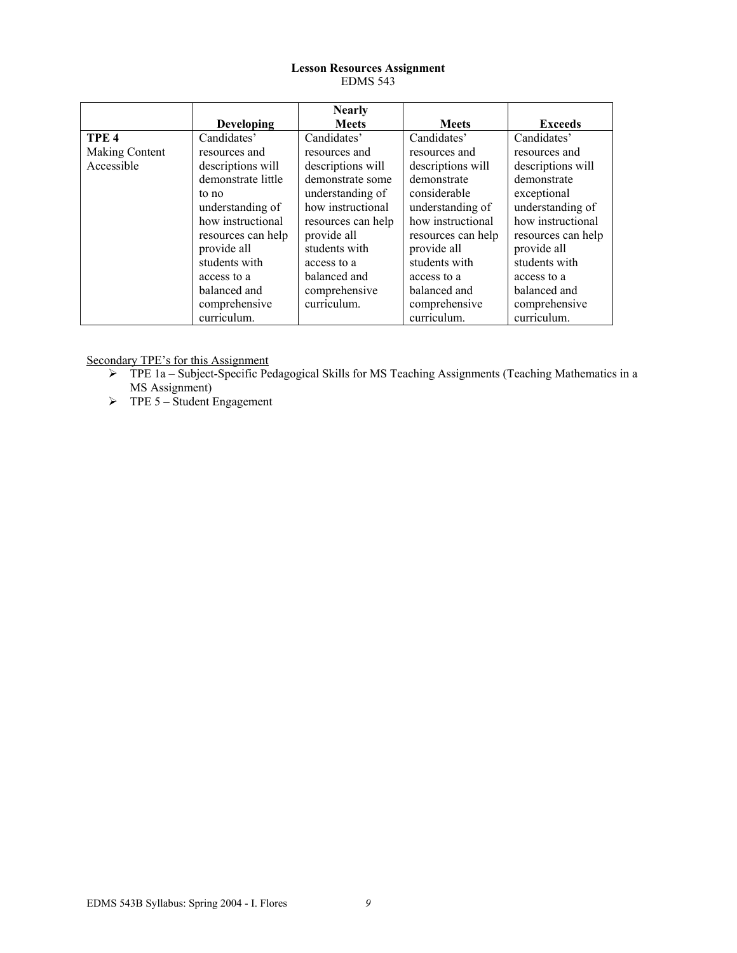### **Lesson Resources Assignment**  EDMS 543

|                  |                    | <b>Nearly</b>      |                                        |                    |
|------------------|--------------------|--------------------|----------------------------------------|--------------------|
|                  | <b>Developing</b>  | <b>Meets</b>       | <b>Meets</b>                           | <b>Exceeds</b>     |
| TPE <sub>4</sub> | Candidates'        | Candidates'        | Candidates'                            | Candidates'        |
| Making Content   | resources and      | resources and      | resources and                          | resources and      |
| Accessible       | descriptions will  | descriptions will  | descriptions will<br>descriptions will |                    |
|                  | demonstrate little | demonstrate some   | demonstrate                            | demonstrate        |
|                  | to no              | understanding of   | considerable                           | exceptional        |
|                  | understanding of   | how instructional  | understanding of                       | understanding of   |
|                  | how instructional  | resources can help | how instructional                      | how instructional  |
|                  | resources can help | provide all        | resources can help                     | resources can help |
|                  | provide all        | students with      | provide all                            | provide all        |
|                  | students with      | access to a        | students with                          | students with      |
|                  | access to a        | balanced and       | access to a                            | access to a        |
|                  | balanced and       | comprehensive      | balanced and                           | balanced and       |
|                  | comprehensive      | curriculum.        | comprehensive                          | comprehensive      |
|                  | curriculum.        |                    | curriculum.                            | curriculum.        |

- ¾ TPE 1a Subject-Specific Pedagogical Skills for MS Teaching Assignments (Teaching Mathematics in a MS Assignment)
- $\triangleright$  TPE 5 Student Engagement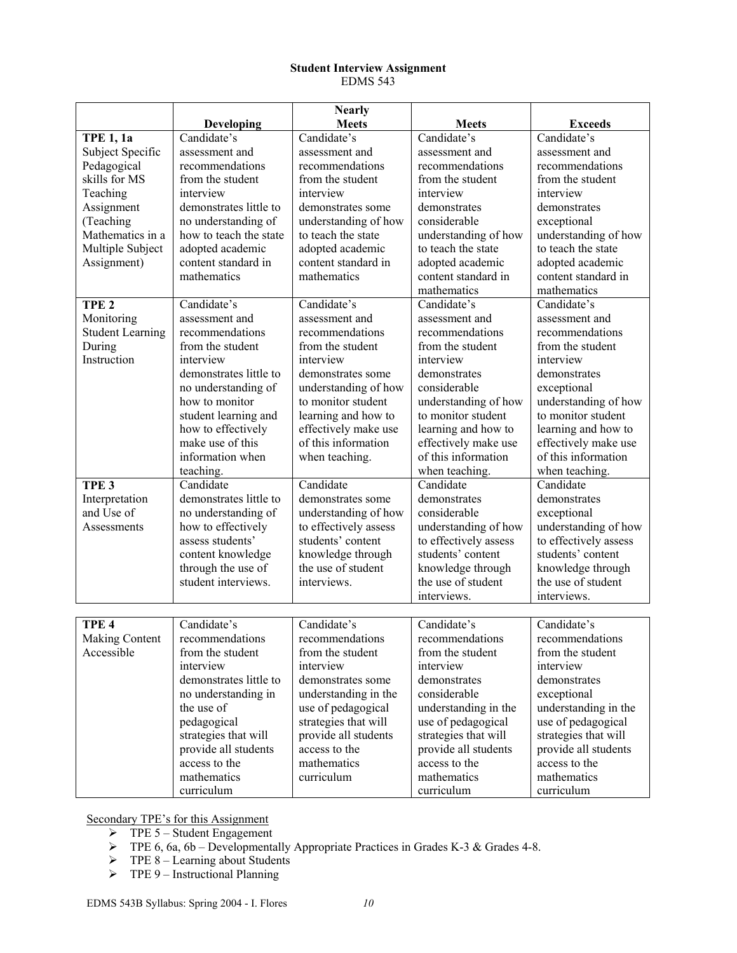### **Student Interview Assignment**  EDMS 543

|                         |                        | <b>Nearly</b>         |                       |                       |
|-------------------------|------------------------|-----------------------|-----------------------|-----------------------|
|                         | Developing             | <b>Meets</b>          | <b>Meets</b>          | <b>Exceeds</b>        |
| <b>TPE 1, 1a</b>        | Candidate's            | Candidate's           | Candidate's           | Candidate's           |
| Subject Specific        | assessment and         | assessment and        | assessment and        | assessment and        |
| Pedagogical             | recommendations        | recommendations       | recommendations       | recommendations       |
| skills for MS           | from the student       | from the student      | from the student      | from the student      |
| Teaching                | interview              | interview             | interview             | interview             |
| Assignment              | demonstrates little to | demonstrates some     | demonstrates          | demonstrates          |
| (Teaching               | no understanding of    | understanding of how  | considerable          | exceptional           |
| Mathematics in a        | how to teach the state | to teach the state    | understanding of how  | understanding of how  |
| Multiple Subject        | adopted academic       | adopted academic      | to teach the state    | to teach the state    |
| Assignment)             | content standard in    | content standard in   | adopted academic      | adopted academic      |
|                         | mathematics            | mathematics           | content standard in   | content standard in   |
|                         |                        |                       | mathematics           | mathematics           |
| TPE <sub>2</sub>        | Candidate's            | Candidate's           | Candidate's           | Candidate's           |
| Monitoring              | assessment and         | assessment and        | assessment and        | assessment and        |
| <b>Student Learning</b> | recommendations        | recommendations       | recommendations       | recommendations       |
| During                  | from the student       | from the student      | from the student      | from the student      |
| Instruction             | interview              | interview             | interview             | interview             |
|                         | demonstrates little to | demonstrates some     | demonstrates          | demonstrates          |
|                         | no understanding of    | understanding of how  | considerable          | exceptional           |
|                         | how to monitor         | to monitor student    | understanding of how  | understanding of how  |
|                         | student learning and   | learning and how to   | to monitor student    | to monitor student    |
|                         | how to effectively     | effectively make use  | learning and how to   | learning and how to   |
|                         | make use of this       | of this information   | effectively make use  | effectively make use  |
|                         | information when       | when teaching.        | of this information   | of this information   |
|                         | teaching.              |                       | when teaching.        | when teaching.        |
| TPE <sub>3</sub>        | Candidate              | Candidate             | Candidate             | Candidate             |
| Interpretation          | demonstrates little to | demonstrates some     | demonstrates          | demonstrates          |
| and Use of              | no understanding of    | understanding of how  | considerable          | exceptional           |
| Assessments             | how to effectively     | to effectively assess | understanding of how  | understanding of how  |
|                         | assess students'       | students' content     | to effectively assess | to effectively assess |
|                         | content knowledge      | knowledge through     | students' content     | students' content     |
|                         | through the use of     | the use of student    | knowledge through     | knowledge through     |
|                         | student interviews.    | interviews.           | the use of student    | the use of student    |
|                         |                        |                       | interviews.           | interviews.           |
|                         |                        |                       |                       |                       |
| TPE <sub>4</sub>        | Candidate's            | Candidate's           | Candidate's           | Candidate's           |
| Making Content          | recommendations        | recommendations       | recommendations       | recommendations       |
| Accessible              | from the student       | from the student      | from the student      | from the student      |
|                         | interview              | interview             | interview             | interview             |
|                         | demonstrates little to | demonstrates some     | demonstrates          | demonstrates          |
|                         | no understanding in    | understanding in the  | considerable          | exceptional           |
|                         | the use of             | use of pedagogical    | understanding in the  | understanding in the  |
|                         | pedagogical            | strategies that will  | use of pedagogical    | use of pedagogical    |
|                         | strategies that will   | provide all students  | strategies that will  | strategies that will  |
|                         | provide all students   | access to the         | provide all students  | provide all students  |
|                         | access to the          | mathematics           | access to the         | access to the         |
|                         | mathematics            | curriculum            | mathematics           | mathematics           |
|                         | curriculum             |                       | curriculum            | curriculum            |

- $\triangleright$  TPE 5 Student Engagement
- $\triangleright$  TPE 6, 6a, 6b Developmentally Appropriate Practices in Grades K-3 & Grades 4-8.
- $\triangleright$  TPE 8 Learning about Students
- $\triangleright$  TPE 9 Instructional Planning